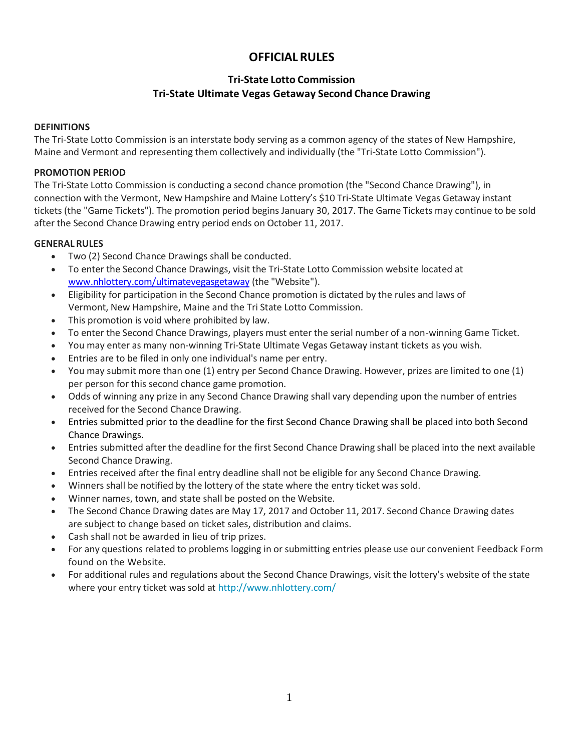# **OFFICIAL RULES**

# **Tri-State Lotto Commission Tri-State Ultimate Vegas Getaway Second Chance Drawing**

# **DEFINITIONS**

The Tri-State Lotto Commission is an interstate body serving as a common agency of the states of New Hampshire, Maine and Vermont and representing them collectively and individually (the "Tri-State Lotto Commission").

# **PROMOTION PERIOD**

The Tri-State Lotto Commission is conducting a second chance promotion (the "Second Chance Drawing"), in connection with the Vermont, New Hampshire and Maine Lottery's \$10 Tri-State Ultimate Vegas Getaway instant tickets (the "Game Tickets"). The promotion period begins January 30, 2017. The Game Tickets may continue to be sold after the Second Chance Drawing entry period ends on October 11, 2017.

# **GENERAL RULES**

- Two (2) Second Chance Drawings shall be conducted.
- To enter the Second Chance Drawings, visit the Tri-State Lotto Commission website located at [www.nhlottery.com/ultimatevegasgetaway](http://www.nhlottery.com/ultimatevegasgetaway) (the "Website").
- Eligibility for participation in the Second Chance promotion is dictated by the rules and laws of Vermont, New Hampshire, Maine and the Tri State Lotto Commission.
- This promotion is void where prohibited by law.
- To enter the Second Chance Drawings, players must enter the serial number of a non-winning Game Ticket.
- You may enter as many non-winning Tri-State Ultimate Vegas Getaway instant tickets as you wish.
- Entries are to be filed in only one individual's name per entry.
- You may submit more than one (1) entry per Second Chance Drawing. However, prizes are limited to one (1) per person for this second chance game promotion.
- Odds of winning any prize in any Second Chance Drawing shall vary depending upon the number of entries received for the Second Chance Drawing.
- Entries submitted prior to the deadline for the first Second Chance Drawing shall be placed into both Second Chance Drawings.
- Entries submitted after the deadline for the first Second Chance Drawing shall be placed into the next available Second Chance Drawing.
- Entries received after the final entry deadline shall not be eligible for any Second Chance Drawing.
- Winners shall be notified by the lottery of the state where the entry ticket was sold.
- Winner names, town, and state shall be posted on the Website.
- The Second Chance Drawing dates are May 17, 2017 and October 11, 2017. Second Chance Drawing dates are subject to change based on ticket sales, distribution and claims.
- Cash shall not be awarded in lieu of trip prizes.
- For any questions related to problems logging in or submitting entries please use our convenient Feedback Form found on the Website.
- For additional rules and regulations about the Second Chance Drawings, visit the lottery's website of the state where your entry ticket was sold at<http://www.nhlottery.com/>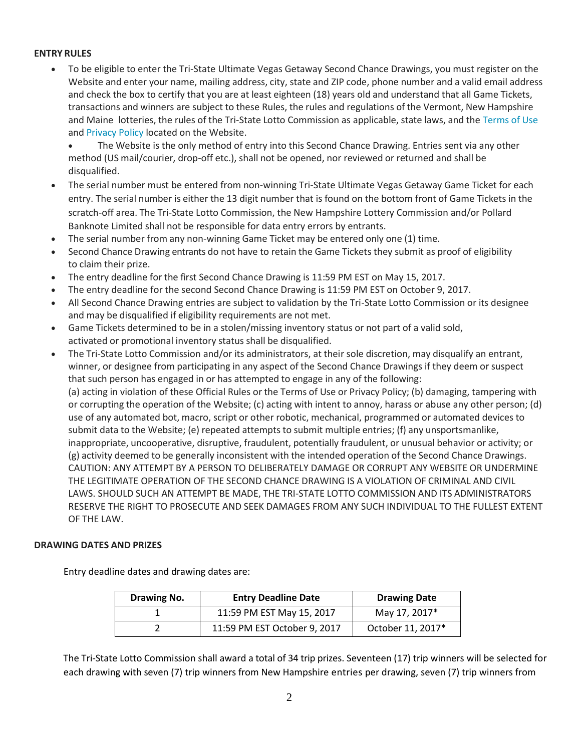### **ENTRY RULES**

 To be eligible to enter the Tri-State Ultimate Vegas Getaway Second Chance Drawings, you must register on the Website and enter your name, mailing address, city, state and ZIP code, phone number and a valid email address and check the box to certify that you are at least eighteen (18) years old and understand that all Game Tickets, transactions and winners are subject to these Rules, the rules and regulations of the Vermont, New Hampshire and Maine lotteries, the rules of the Tri-State Lotto Commission as applicable, state laws, and th[e Terms](https://tristate.secondchancebonuszone.com/margaritaville/terms) of Use and [Privacy](https://tristate.secondchancebonuszone.com/margaritaville/privacy) Policy located on the Website.

 The Website is the only method of entry into this Second Chance Drawing. Entries sent via any other method (US mail/courier, drop-off etc.), shall not be opened, nor reviewed or returned and shall be disqualified.

- The serial number must be entered from non-winning Tri-State Ultimate Vegas Getaway Game Ticket for each entry. The serial number is either the 13 digit number that is found on the bottom front of Game Tickets in the scratch-off area. The Tri-State Lotto Commission, the New Hampshire Lottery Commission and/or Pollard Banknote Limited shall not be responsible for data entry errors by entrants.
- The serial number from any non-winning Game Ticket may be entered only one (1) time.
- Second Chance Drawing entrants do not have to retain the Game Tickets they submit as proof of eligibility to claim their prize.
- The entry deadline for the first Second Chance Drawing is 11:59 PM EST on May 15, 2017.
- The entry deadline for the second Second Chance Drawing is 11:59 PM EST on October 9, 2017.
- All Second Chance Drawing entries are subject to validation by the Tri-State Lotto Commission or its designee and may be disqualified if eligibility requirements are not met.
- Game Tickets determined to be in a stolen/missing inventory status or not part of a valid sold, activated or promotional inventory status shall be disqualified.
- The Tri-State Lotto Commission and/or its administrators, at their sole discretion, may disqualify an entrant, winner, or designee from participating in any aspect of the Second Chance Drawings if they deem or suspect that such person has engaged in or has attempted to engage in any of the following: (a) acting in violation of these Official Rules or the Terms of Use or Privacy Policy; (b) damaging, tampering with or corrupting the operation of the Website; (c) acting with intent to annoy, harass or abuse any other person; (d) use of any automated bot, macro, script or other robotic, mechanical, programmed or automated devices to submit data to the Website; (e) repeated attempts to submit multiple entries; (f) any unsportsmanlike, inappropriate, uncooperative, disruptive, fraudulent, potentially fraudulent, or unusual behavior or activity; or (g) activity deemed to be generally inconsistent with the intended operation of the Second Chance Drawings. CAUTION: ANY ATTEMPT BY A PERSON TO DELIBERATELY DAMAGE OR CORRUPT ANY WEBSITE OR UNDERMINE THE LEGITIMATE OPERATION OF THE SECOND CHANCE DRAWING IS A VIOLATION OF CRIMINAL AND CIVIL LAWS. SHOULD SUCH AN ATTEMPT BE MADE, THE TRI-STATE LOTTO COMMISSION AND ITS ADMINISTRATORS RESERVE THE RIGHT TO PROSECUTE AND SEEK DAMAGES FROM ANY SUCH INDIVIDUAL TO THE FULLEST EXTENT OF THE LAW.

### **DRAWING DATES AND PRIZES**

Entry deadline dates and drawing dates are:

| Drawing No. | <b>Entry Deadline Date</b>   | <b>Drawing Date</b> |
|-------------|------------------------------|---------------------|
|             | 11:59 PM EST May 15, 2017    | May 17, 2017*       |
|             | 11:59 PM EST October 9, 2017 | October 11, 2017*   |

The Tri-State Lotto Commission shall award a total of 34 trip prizes. Seventeen (17) trip winners will be selected for each drawing with seven (7) trip winners from New Hampshire entries per drawing, seven (7) trip winners from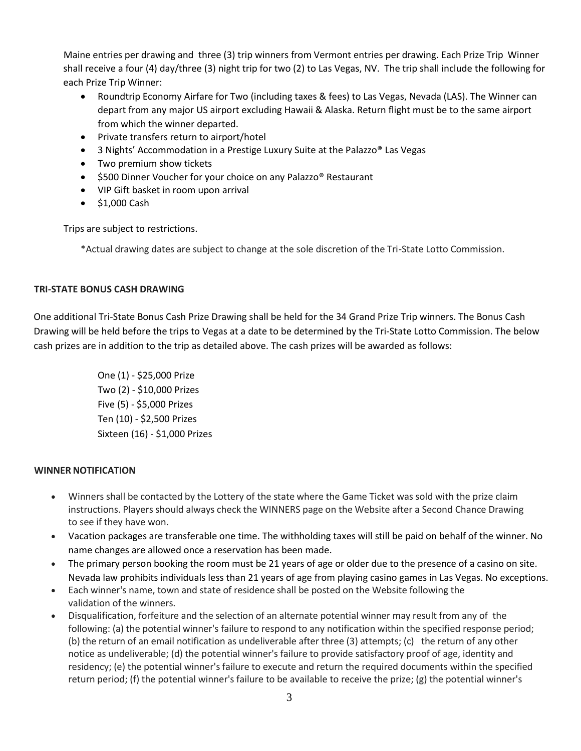Maine entries per drawing and three (3) trip winners from Vermont entries per drawing. Each Prize Trip Winner shall receive a four (4) day/three (3) night trip for two (2) to Las Vegas, NV. The trip shall include the following for each Prize Trip Winner:

- Roundtrip Economy Airfare for Two (including taxes & fees) to Las Vegas, Nevada (LAS). The Winner can depart from any major US airport excluding Hawaii & Alaska. Return flight must be to the same airport from which the winner departed.
- Private transfers return to airport/hotel
- 3 Nights' Accommodation in a Prestige Luxury Suite at the Palazzo® Las Vegas
- Two premium show tickets
- \$500 Dinner Voucher for your choice on any Palazzo® Restaurant
- VIP Gift basket in room upon arrival
- $\bullet$  \$1,000 Cash

Trips are subject to restrictions.

\*Actual drawing dates are subject to change at the sole discretion of the Tri-State Lotto Commission.

### **TRI-STATE BONUS CASH DRAWING**

One additional Tri-State Bonus Cash Prize Drawing shall be held for the 34 Grand Prize Trip winners. The Bonus Cash Drawing will be held before the trips to Vegas at a date to be determined by the Tri-State Lotto Commission. The below cash prizes are in addition to the trip as detailed above. The cash prizes will be awarded as follows:

> One (1) - \$25,000 Prize Two (2) - \$10,000 Prizes Five (5) - \$5,000 Prizes Ten (10) - \$2,500 Prizes Sixteen (16) - \$1,000 Prizes

### **WINNERNOTIFICATION**

- Winners shall be contacted by the Lottery of the state where the Game Ticket was sold with the prize claim instructions. Players should always check the WINNERS page on the Website after a Second Chance Drawing to see if they have won.
- Vacation packages are transferable one time. The withholding taxes will still be paid on behalf of the winner. No name changes are allowed once a reservation has been made.
- The primary person booking the room must be 21 years of age or older due to the presence of a casino on site. Nevada law prohibits individuals less than 21 years of age from playing casino games in Las Vegas. No exceptions.
- Each winner's name, town and state of residence shall be posted on the Website following the validation of the winners.
- Disqualification, forfeiture and the selection of an alternate potential winner may result from any of the following: (a) the potential winner's failure to respond to any notification within the specified response period; (b) the return of an email notification as undeliverable after three (3) attempts; (c) the return of any other notice as undeliverable; (d) the potential winner's failure to provide satisfactory proof of age, identity and residency; (e) the potential winner's failure to execute and return the required documents within the specified return period; (f) the potential winner's failure to be available to receive the prize; (g) the potential winner's